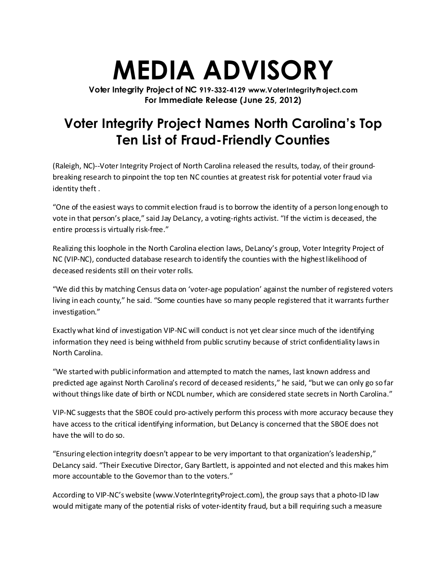## **MEDIA ADVISORY**

**Voter Integrity Project of NC 919-332-4129 www.VoterIntegrityProject.com For Immediate Release (June 25, 2012)**

## **Voter Integrity Project Names North Carolina's Top Ten List of Fraud-Friendly Counties**

(Raleigh, NC)--Voter Integrity Project of North Carolina released the results, today, of their groundbreaking research to pinpoint the top ten NC counties at greatest risk for potential voter fraud via identity theft .

"One of the easiest ways to commit election fraud is to borrow the identity of a person long enough to vote in that person's place," said Jay DeLancy, a voting-rights activist. "If the victim is deceased, the entire process is virtually risk-free."

Realizing this loophole in the North Carolina election laws, DeLancy's group, Voter Integrity Project of NC (VIP-NC), conducted database research to identify the counties with the highest likelihood of deceased residents still on their voter rolls.

"We did this by matching Census data on 'voter-age population' against the number of registered voters living in each county," he said. "Some counties have so many people registered that it warrants further investigation."

Exactly what kind of investigation VIP-NC will conduct is not yet clearsince much of the identifying information they need is being withheld from public scrutiny because of strict confidentiality lawsin North Carolina.

"We startedwith public information and attempted to match the names, last known address and predicted age against North Carolina's record of deceased residents," he said, "but we can only go so far without things like date of birth or NCDL number, which are considered state secrets in North Carolina."

VIP-NC suggests that the SBOE could pro-actively perform this process with more accuracy because they have access to the critical identifying information, but DeLancy is concerned that the SBOE does not have the will to do so.

"Ensuring election integrity doesn't appear to be very important to that organization's leadership," DeLancy said. "Their Executive Director, Gary Bartlett, is appointed and not elected and this makes him more accountable to the Governor than to the voters."

According to VIP-NC's website (www.VoterIntegrityProject.com), the group says that a photo-ID law would mitigate many of the potential risks of voter-identity fraud, but a bill requiring such a measure